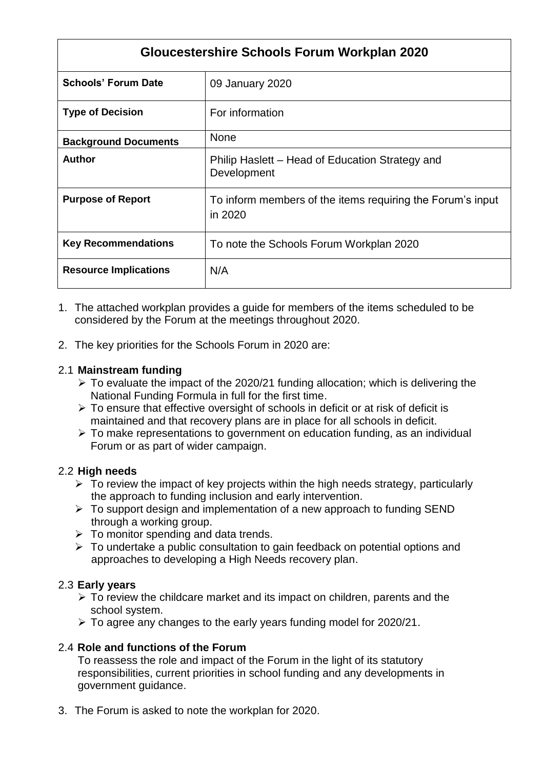| <b>Gloucestershire Schools Forum Workplan 2020</b> |                                                                       |  |  |  |
|----------------------------------------------------|-----------------------------------------------------------------------|--|--|--|
| <b>Schools' Forum Date</b>                         | 09 January 2020                                                       |  |  |  |
| <b>Type of Decision</b>                            | For information                                                       |  |  |  |
| <b>Background Documents</b>                        | <b>None</b>                                                           |  |  |  |
| Author                                             | Philip Haslett - Head of Education Strategy and<br>Development        |  |  |  |
| <b>Purpose of Report</b>                           | To inform members of the items requiring the Forum's input<br>in 2020 |  |  |  |
| <b>Key Recommendations</b>                         | To note the Schools Forum Workplan 2020                               |  |  |  |
| <b>Resource Implications</b>                       | N/A                                                                   |  |  |  |

- 1. The attached workplan provides a guide for members of the items scheduled to be considered by the Forum at the meetings throughout 2020.
- 2. The key priorities for the Schools Forum in 2020 are:

### 2.1 **Mainstream funding**

- $\triangleright$  To evaluate the impact of the 2020/21 funding allocation; which is delivering the National Funding Formula in full for the first time.
- $\triangleright$  To ensure that effective oversight of schools in deficit or at risk of deficit is maintained and that recovery plans are in place for all schools in deficit.
- $\triangleright$  To make representations to government on education funding, as an individual Forum or as part of wider campaign.

## 2.2 **High needs**

- $\triangleright$  To review the impact of key projects within the high needs strategy, particularly the approach to funding inclusion and early intervention.
- $\triangleright$  To support design and implementation of a new approach to funding SEND through a working group.
- $\triangleright$  To monitor spending and data trends.
- $\triangleright$  To undertake a public consultation to gain feedback on potential options and approaches to developing a High Needs recovery plan.

## 2.3 **Early years**

- $\triangleright$  To review the childcare market and its impact on children, parents and the school system.
- To agree any changes to the early years funding model for 2020/21.

## 2.4 **Role and functions of the Forum**

To reassess the role and impact of the Forum in the light of its statutory responsibilities, current priorities in school funding and any developments in government guidance.

3. The Forum is asked to note the workplan for 2020.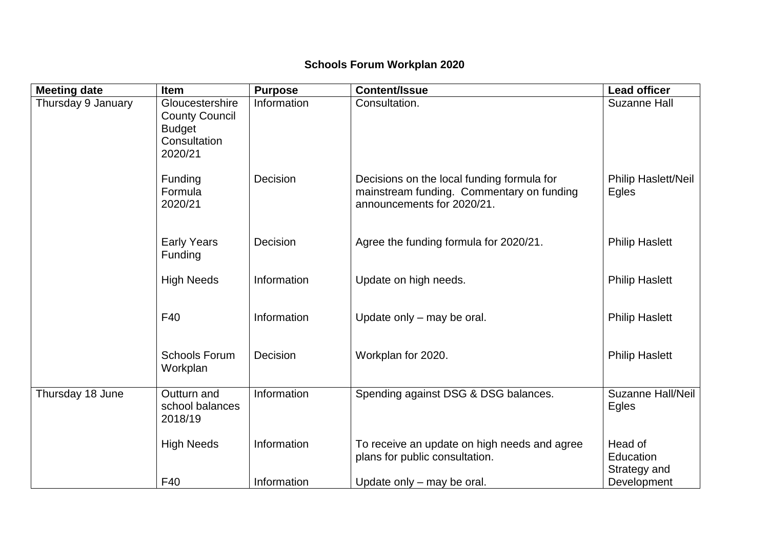# **Schools Forum Workplan 2020**

| <b>Meeting date</b> | <b>Item</b>                                                                          | <b>Purpose</b> | <b>Content/Issue</b>                                                                                                  | <b>Lead officer</b>                  |
|---------------------|--------------------------------------------------------------------------------------|----------------|-----------------------------------------------------------------------------------------------------------------------|--------------------------------------|
| Thursday 9 January  | Gloucestershire<br><b>County Council</b><br><b>Budget</b><br>Consultation<br>2020/21 | Information    | Consultation.                                                                                                         | <b>Suzanne Hall</b>                  |
|                     | Funding<br>Formula<br>2020/21                                                        | Decision       | Decisions on the local funding formula for<br>mainstream funding. Commentary on funding<br>announcements for 2020/21. | <b>Philip Haslett/Neil</b><br>Egles  |
|                     | <b>Early Years</b><br>Funding                                                        | Decision       | Agree the funding formula for 2020/21.                                                                                | <b>Philip Haslett</b>                |
|                     | <b>High Needs</b>                                                                    | Information    | Update on high needs.                                                                                                 | <b>Philip Haslett</b>                |
|                     | F40                                                                                  | Information    | Update only – may be oral.                                                                                            | <b>Philip Haslett</b>                |
|                     | <b>Schools Forum</b><br>Workplan                                                     | Decision       | Workplan for 2020.                                                                                                    | <b>Philip Haslett</b>                |
| Thursday 18 June    | Outturn and<br>school balances<br>2018/19                                            | Information    | Spending against DSG & DSG balances.                                                                                  | <b>Suzanne Hall/Neil</b><br>Egles    |
|                     | <b>High Needs</b>                                                                    | Information    | To receive an update on high needs and agree<br>plans for public consultation.                                        | Head of<br>Education<br>Strategy and |
|                     | F40                                                                                  | Information    | Update only – may be oral.                                                                                            | Development                          |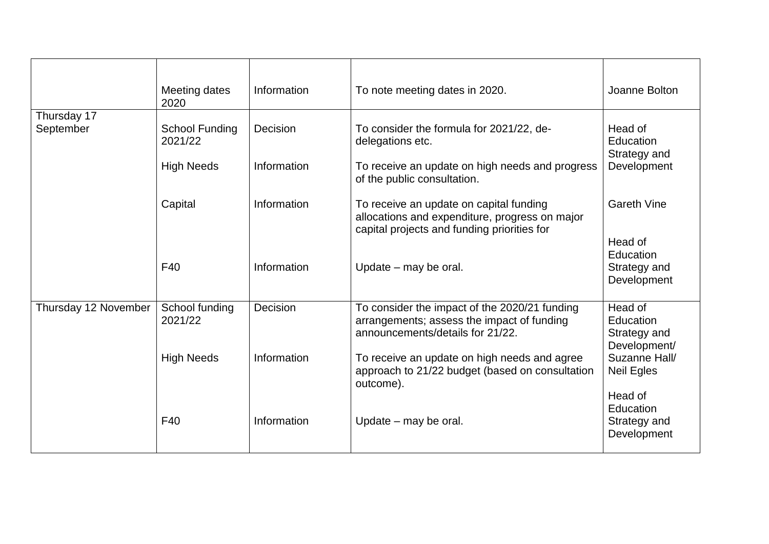|                          | Meeting dates<br>2020     | Information | To note meeting dates in 2020.                                                                                                           | Joanne Bolton                                        |
|--------------------------|---------------------------|-------------|------------------------------------------------------------------------------------------------------------------------------------------|------------------------------------------------------|
| Thursday 17<br>September | School Funding<br>2021/22 | Decision    | To consider the formula for 2021/22, de-<br>delegations etc.                                                                             | Head of<br>Education<br>Strategy and                 |
|                          | <b>High Needs</b>         | Information | To receive an update on high needs and progress<br>of the public consultation.                                                           | Development                                          |
|                          | Capital                   | Information | To receive an update on capital funding<br>allocations and expenditure, progress on major<br>capital projects and funding priorities for | <b>Gareth Vine</b>                                   |
|                          | F40                       | Information | Update – may be oral.                                                                                                                    | Head of<br>Education<br>Strategy and                 |
|                          |                           |             |                                                                                                                                          | Development                                          |
| Thursday 12 November     | School funding<br>2021/22 | Decision    | To consider the impact of the 2020/21 funding<br>arrangements; assess the impact of funding<br>announcements/details for 21/22.          | Head of<br>Education<br>Strategy and<br>Development/ |
|                          | <b>High Needs</b>         | Information | To receive an update on high needs and agree<br>approach to 21/22 budget (based on consultation<br>outcome).                             | Suzanne Hall/<br><b>Neil Egles</b><br>Head of        |
|                          | F40                       | Information | Update – may be oral.                                                                                                                    | Education<br>Strategy and<br>Development             |